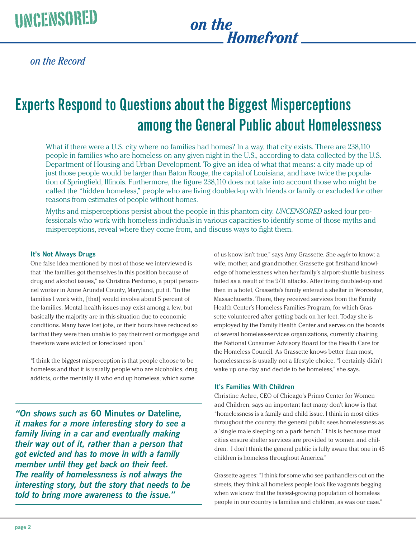## *on the Homefront*

*on the Record*

# **Experts Respond to Questions about the Biggest Misperceptions among the General Public about Homelessness**

What if there were a U.S. city where no families had homes? In a way, that city exists. There are 238,110 people in families who are homeless on any given night in the U.S., according to data collected by the U.S. Department of Housing and Urban Development. To give an idea of what that means: a city made up of just those people would be larger than Baton Rouge, the capital of Louisiana, and have twice the population of Springfield, Illinois. Furthermore, the figure 238,110 does not take into account those who might be called the "hidden homeless," people who are living doubled-up with friends or family or excluded for other reasons from estimates of people without homes.

Myths and misperceptions persist about the people in this phantom city. *UNCENSORED* asked four professionals who work with homeless individuals in various capacities to identify some of those myths and misperceptions, reveal where they come from, and discuss ways to fight them.

#### **It's Not Always Drugs**

One false idea mentioned by most of those we interviewed is that "the families got themselves in this position because of drug and alcohol issues," as Christina Perdomo, a pupil personnel worker in Anne Arundel County, Maryland, put it. "In the families I work with, [that] would involve about 5 percent of the families. Mental-health issues may exist among a few, but basically the majority are in this situation due to economic conditions. Many have lost jobs, or their hours have reduced so far that they were then unable to pay their rent or mortgage and therefore were evicted or foreclosed upon."

"I think the biggest misperception is that people choose to be homeless and that it is usually people who are alcoholics, drug addicts, or the mentally ill who end up homeless, which some

*"On shows such as* **60 Minutes** *or* **Dateline***, it makes for a more interesting story to see a family living in a car and eventually making their way out of it, rather than a person that got evicted and has to move in with a family member until they get back on their feet. The reality of homelessness is not always the interesting story, but the story that needs to be told to bring more awareness to the issue."*

of us know isn't true," says Amy Grassette. She *ought* to know: a wife, mother, and grandmother, Grassette got firsthand knowledge of homelessness when her family's airport-shuttle business failed as a result of the 9/11 attacks. After living doubled-up and then in a hotel, Grassette's family entered a shelter in Worcester, Massachusetts. There, they received services from the Family Health Center's Homeless Families Program, for which Grassette volunteered after getting back on her feet. Today she is employed by the Family Health Center and serves on the boards of several homeless-services organizations, currently chairing the National Consumer Advisory Board for the Health Care for the Homeless Council. As Grassette knows better than most, homelessness is usually not a lifestyle choice. "I certainly didn't wake up one day and decide to be homeless," she says.

#### **It's Families With Children**

Christine Achre, CEO of Chicago's Primo Center for Women and Children, says an important fact many don't know is that "homelessness is a family and child issue. I think in most cities throughout the country, the general public sees homelessness as a 'single male sleeping on a park bench.' This is because most cities ensure shelter services are provided to women and children. I don't think the general public is fully aware that one in 45 children is homeless throughout America."

Grassette agrees: "I think for some who see panhandlers out on the streets, they think all homeless people look like vagrants begging, when we know that the fastest-growing population of homeless people in our country is families and children, as was our case."